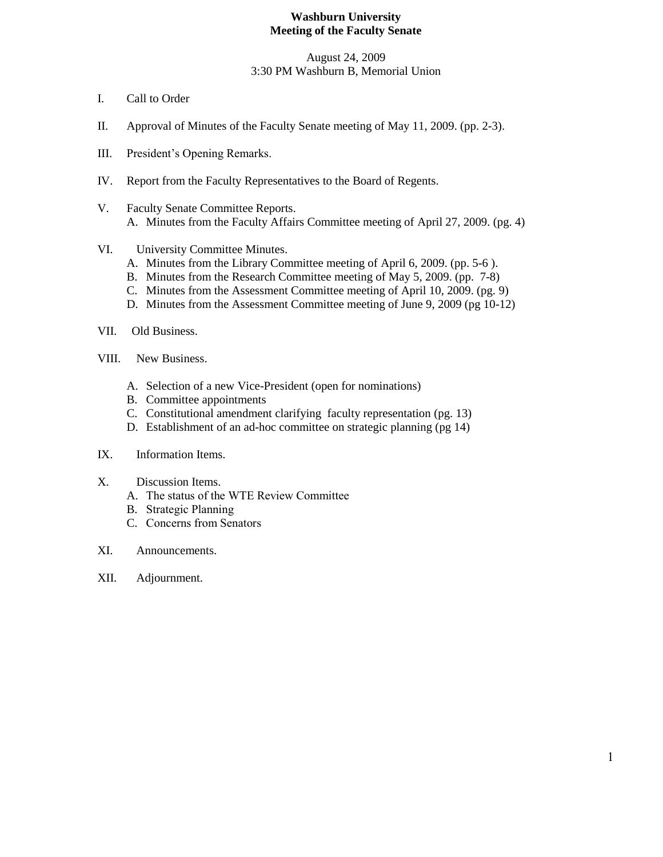#### **Washburn University Meeting of the Faculty Senate**

August 24, 2009 3:30 PM Washburn B, Memorial Union

- I. Call to Order
- II. Approval of Minutes of the Faculty Senate meeting of May 11, 2009. (pp. 2-3).
- III. President's Opening Remarks.
- IV. Report from the Faculty Representatives to the Board of Regents.
- V. Faculty Senate Committee Reports. A. Minutes from the Faculty Affairs Committee meeting of April 27, 2009. (pg. 4)
- VI. University Committee Minutes.
	- A. Minutes from the Library Committee meeting of April 6, 2009. (pp. 5-6 ).
	- B. Minutes from the Research Committee meeting of May 5, 2009. (pp. 7-8)
	- C. Minutes from the Assessment Committee meeting of April 10, 2009. (pg. 9)
	- D. Minutes from the Assessment Committee meeting of June 9, 2009 (pg 10-12)
- VII. Old Business.
- VIII. New Business.
	- A. Selection of a new Vice-President (open for nominations)
	- B. Committee appointments
	- C. Constitutional amendment clarifying faculty representation (pg. 13)
	- D. Establishment of an ad-hoc committee on strategic planning (pg 14)
- IX. Information Items.
- X. Discussion Items.
	- A. The status of the WTE Review Committee
	- B. Strategic Planning
	- C. Concerns from Senators
- XI. Announcements.
- XII. Adjournment.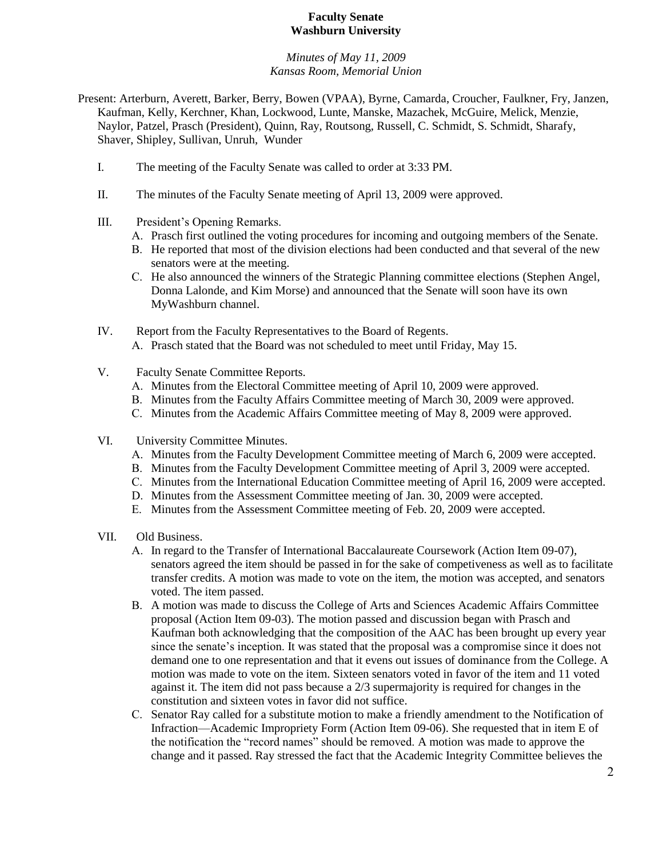#### **Faculty Senate Washburn University**

#### *Minutes of May 11, 2009 Kansas Room, Memorial Union*

- Present: Arterburn, Averett, Barker, Berry, Bowen (VPAA), Byrne, Camarda, Croucher, Faulkner, Fry, Janzen, Kaufman, Kelly, Kerchner, Khan, Lockwood, Lunte, Manske, Mazachek, McGuire, Melick, Menzie, Naylor, Patzel, Prasch (President), Quinn, Ray, Routsong, Russell, C. Schmidt, S. Schmidt, Sharafy, Shaver, Shipley, Sullivan, Unruh, Wunder
	- I. The meeting of the Faculty Senate was called to order at 3:33 PM.
	- II. The minutes of the Faculty Senate meeting of April 13, 2009 were approved.
	- III. President's Opening Remarks.
		- A. Prasch first outlined the voting procedures for incoming and outgoing members of the Senate.
		- B. He reported that most of the division elections had been conducted and that several of the new senators were at the meeting.
		- C. He also announced the winners of the Strategic Planning committee elections (Stephen Angel, Donna Lalonde, and Kim Morse) and announced that the Senate will soon have its own MyWashburn channel.
	- IV. Report from the Faculty Representatives to the Board of Regents. A. Prasch stated that the Board was not scheduled to meet until Friday, May 15.
	- V. Faculty Senate Committee Reports.
		- A. Minutes from the Electoral Committee meeting of April 10, 2009 were approved.
		- B. Minutes from the Faculty Affairs Committee meeting of March 30, 2009 were approved.
		- C. Minutes from the Academic Affairs Committee meeting of May 8, 2009 were approved.
	- VI. University Committee Minutes.
		- A. Minutes from the Faculty Development Committee meeting of March 6, 2009 were accepted.
		- B. Minutes from the Faculty Development Committee meeting of April 3, 2009 were accepted.
		- C. Minutes from the International Education Committee meeting of April 16, 2009 were accepted.
		- D. Minutes from the Assessment Committee meeting of Jan. 30, 2009 were accepted.
		- E. Minutes from the Assessment Committee meeting of Feb. 20, 2009 were accepted.
	- VII. Old Business.
		- A. In regard to the Transfer of International Baccalaureate Coursework (Action Item 09-07), senators agreed the item should be passed in for the sake of competiveness as well as to facilitate transfer credits. A motion was made to vote on the item, the motion was accepted, and senators voted. The item passed.
		- B. A motion was made to discuss the College of Arts and Sciences Academic Affairs Committee proposal (Action Item 09-03). The motion passed and discussion began with Prasch and Kaufman both acknowledging that the composition of the AAC has been brought up every year since the senate's inception. It was stated that the proposal was a compromise since it does not demand one to one representation and that it evens out issues of dominance from the College. A motion was made to vote on the item. Sixteen senators voted in favor of the item and 11 voted against it. The item did not pass because a 2/3 supermajority is required for changes in the constitution and sixteen votes in favor did not suffice.
		- C. Senator Ray called for a substitute motion to make a friendly amendment to the Notification of Infraction—Academic Impropriety Form (Action Item 09-06). She requested that in item E of the notification the "record names" should be removed. A motion was made to approve the change and it passed. Ray stressed the fact that the Academic Integrity Committee believes the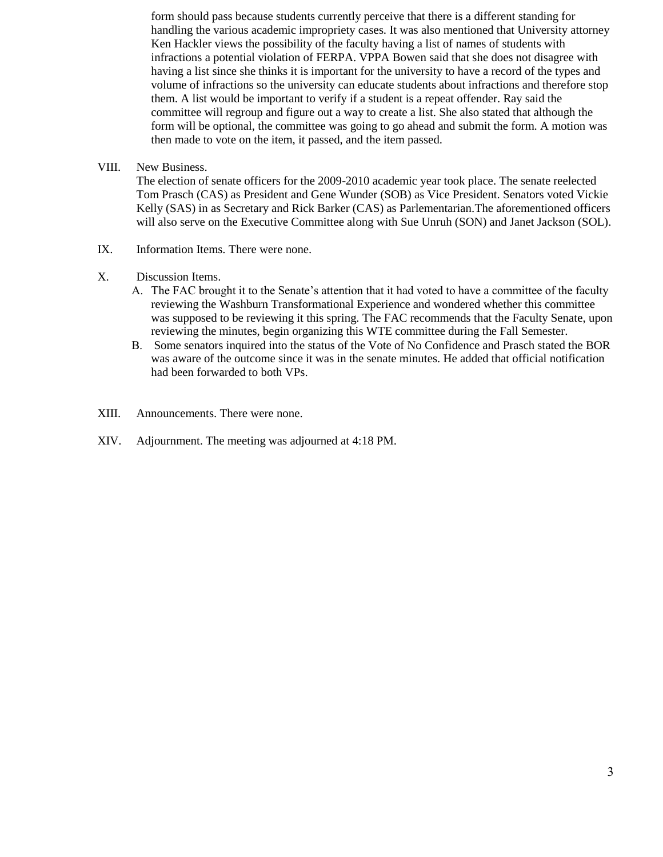form should pass because students currently perceive that there is a different standing for handling the various academic impropriety cases. It was also mentioned that University attorney Ken Hackler views the possibility of the faculty having a list of names of students with infractions a potential violation of FERPA. VPPA Bowen said that she does not disagree with having a list since she thinks it is important for the university to have a record of the types and volume of infractions so the university can educate students about infractions and therefore stop them. A list would be important to verify if a student is a repeat offender. Ray said the committee will regroup and figure out a way to create a list. She also stated that although the form will be optional, the committee was going to go ahead and submit the form. A motion was then made to vote on the item, it passed, and the item passed.

VIII. New Business.

The election of senate officers for the 2009-2010 academic year took place. The senate reelected Tom Prasch (CAS) as President and Gene Wunder (SOB) as Vice President. Senators voted Vickie Kelly (SAS) in as Secretary and Rick Barker (CAS) as Parlementarian.The aforementioned officers will also serve on the Executive Committee along with Sue Unruh (SON) and Janet Jackson (SOL).

- IX. Information Items. There were none.
- X. Discussion Items.
	- A. The FAC brought it to the Senate's attention that it had voted to have a committee of the faculty reviewing the Washburn Transformational Experience and wondered whether this committee was supposed to be reviewing it this spring. The FAC recommends that the Faculty Senate, upon reviewing the minutes, begin organizing this WTE committee during the Fall Semester.
	- B. Some senators inquired into the status of the Vote of No Confidence and Prasch stated the BOR was aware of the outcome since it was in the senate minutes. He added that official notification had been forwarded to both VPs.
- XIII. Announcements. There were none.
- XIV. Adjournment. The meeting was adjourned at 4:18 PM.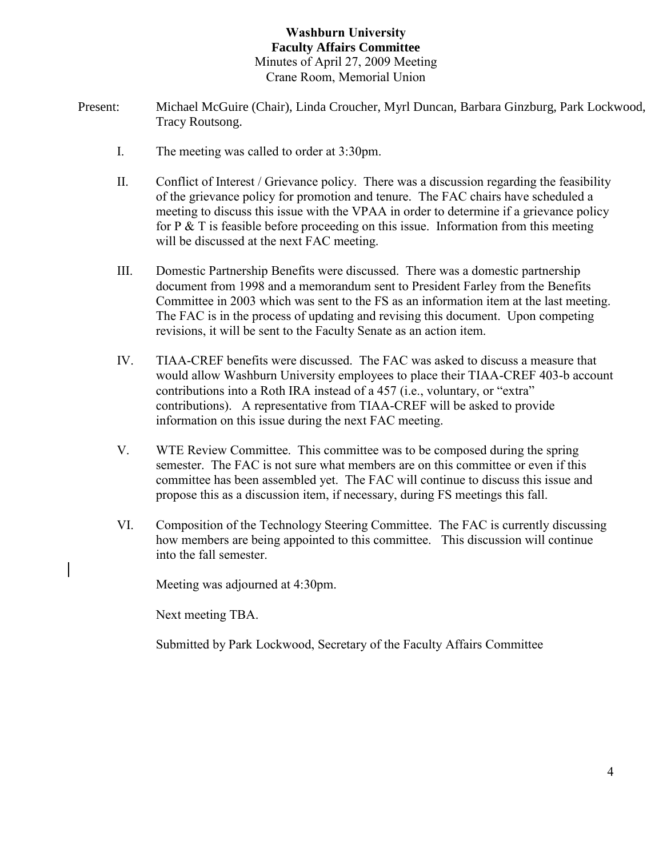## **Washburn University Faculty Affairs Committee** Minutes of April 27, 2009 Meeting Crane Room, Memorial Union

- Present: Michael McGuire (Chair), Linda Croucher, Myrl Duncan, Barbara Ginzburg, Park Lockwood, Tracy Routsong.
	- I. The meeting was called to order at 3:30pm.
	- II. Conflict of Interest / Grievance policy. There was a discussion regarding the feasibility of the grievance policy for promotion and tenure. The FAC chairs have scheduled a meeting to discuss this issue with the VPAA in order to determine if a grievance policy for P  $&$  T is feasible before proceeding on this issue. Information from this meeting will be discussed at the next FAC meeting.
	- III. Domestic Partnership Benefits were discussed. There was a domestic partnership document from 1998 and a memorandum sent to President Farley from the Benefits Committee in 2003 which was sent to the FS as an information item at the last meeting. The FAC is in the process of updating and revising this document. Upon competing revisions, it will be sent to the Faculty Senate as an action item.
	- IV. TIAA-CREF benefits were discussed. The FAC was asked to discuss a measure that would allow Washburn University employees to place their TIAA-CREF 403-b account contributions into a Roth IRA instead of a 457 (i.e., voluntary, or "extra" contributions). A representative from TIAA-CREF will be asked to provide information on this issue during the next FAC meeting.
	- V. WTE Review Committee. This committee was to be composed during the spring semester. The FAC is not sure what members are on this committee or even if this committee has been assembled yet. The FAC will continue to discuss this issue and propose this as a discussion item, if necessary, during FS meetings this fall.
	- VI. Composition of the Technology Steering Committee. The FAC is currently discussing how members are being appointed to this committee. This discussion will continue into the fall semester.

Meeting was adjourned at 4:30pm.

Next meeting TBA.

Submitted by Park Lockwood, Secretary of the Faculty Affairs Committee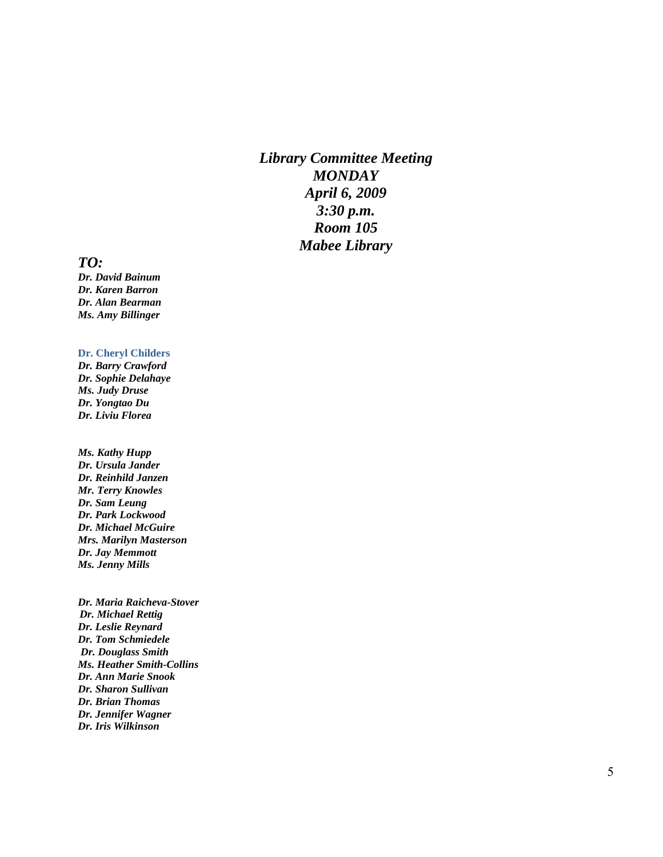*Library Committee Meeting MONDAY April 6, 2009 3:30 p.m. Room 105 Mabee Library*

#### *TO:*

*Dr. David Bainum Dr. Karen Barron Dr. Alan Bearman Ms. Amy Billinger*

#### **Dr. Cheryl Childers**

*Dr. Barry Crawford Dr. Sophie Delahaye Ms. Judy Druse Dr. Yongtao Du Dr. Liviu Florea*

*Ms. Kathy Hupp Dr. Ursula Jander Dr. Reinhild Janzen Mr. Terry Knowles Dr. Sam Leung Dr. Park Lockwood Dr. Michael McGuire Mrs. Marilyn Masterson Dr. Jay Memmott Ms. Jenny Mills*

*Dr. Maria Raicheva -Stover Dr. Michael Rettig Dr. Leslie Reynard Dr. Tom Schmiedele Dr. Douglass Smith Ms. Heather Smith -Collins Dr. Ann Marie Snook Dr. Sharon Sullivan Dr. Brian Thomas Dr. Jennifer Wagner Dr. Iris Wilkinson*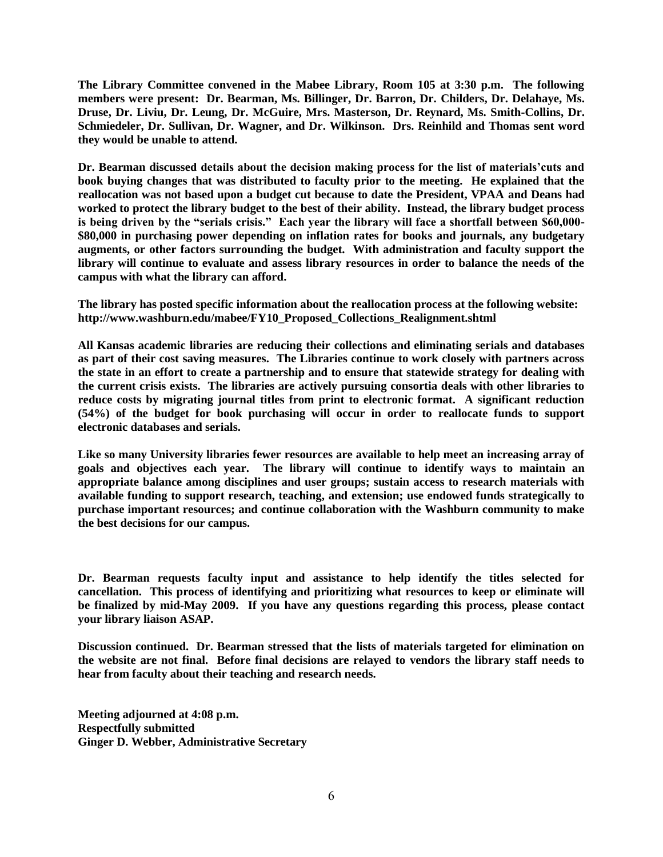**The Library Committee convened in the Mabee Library, Room 105 at 3:30 p.m. The following members were present: Dr. Bearman, Ms. Billinger, Dr. Barron, Dr. Childers, Dr. Delahaye, Ms. Druse, Dr. Liviu, Dr. Leung, Dr. McGuire, Mrs. Masterson, Dr. Reynard, Ms. Smith-Collins, Dr. Schmiedeler, Dr. Sullivan, Dr. Wagner, and Dr. Wilkinson. Drs. Reinhild and Thomas sent word they would be unable to attend.**

**Dr. Bearman discussed details about the decision making process for the list of materials'cuts and book buying changes that was distributed to faculty prior to the meeting. He explained that the reallocation was not based upon a budget cut because to date the President, VPAA and Deans had worked to protect the library budget to the best of their ability. Instead, the library budget process is being driven by the "serials crisis." Each year the library will face a shortfall between \$60,000- \$80,000 in purchasing power depending on inflation rates for books and journals, any budgetary augments, or other factors surrounding the budget. With administration and faculty support the library will continue to evaluate and assess library resources in order to balance the needs of the campus with what the library can afford.**

**The library has posted specific information about the reallocation process at the following website: http://www.washburn.edu/mabee/FY10\_Proposed\_Collections\_Realignment.shtml**

**All Kansas academic libraries are reducing their collections and eliminating serials and databases as part of their cost saving measures. The Libraries continue to work closely with partners across the state in an effort to create a partnership and to ensure that statewide strategy for dealing with the current crisis exists. The libraries are actively pursuing consortia deals with other libraries to reduce costs by migrating journal titles from print to electronic format. A significant reduction (54%) of the budget for book purchasing will occur in order to reallocate funds to support electronic databases and serials.** 

**Like so many University libraries fewer resources are available to help meet an increasing array of goals and objectives each year. The library will continue to identify ways to maintain an appropriate balance among disciplines and user groups; sustain access to research materials with available funding to support research, teaching, and extension; use endowed funds strategically to purchase important resources; and continue collaboration with the Washburn community to make the best decisions for our campus.**

**Dr. Bearman requests faculty input and assistance to help identify the titles selected for cancellation. This process of identifying and prioritizing what resources to keep or eliminate will be finalized by mid-May 2009. If you have any questions regarding this process, please contact your library liaison ASAP.**

**Discussion continued. Dr. Bearman stressed that the lists of materials targeted for elimination on the website are not final. Before final decisions are relayed to vendors the library staff needs to hear from faculty about their teaching and research needs.**

**Meeting adjourned at 4:08 p.m. Respectfully submitted Ginger D. Webber, Administrative Secretary**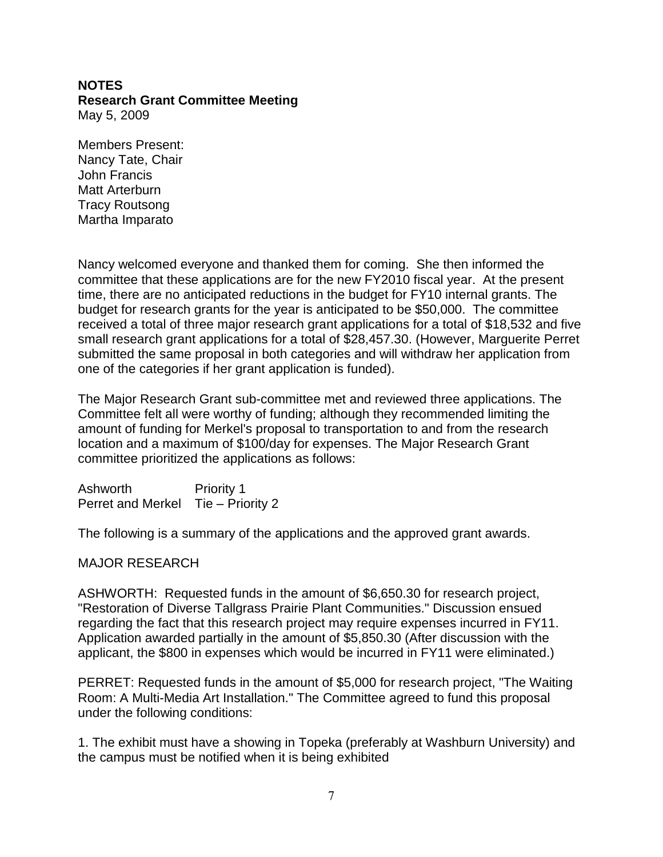#### **NOTES Research Grant Committee Meeting**  May 5, 2009

Members Present: Nancy Tate, Chair John Francis Matt Arterburn Tracy Routsong Martha Imparato

Nancy welcomed everyone and thanked them for coming. She then informed the committee that these applications are for the new FY2010 fiscal year. At the present time, there are no anticipated reductions in the budget for FY10 internal grants. The budget for research grants for the year is anticipated to be \$50,000. The committee received a total of three major research grant applications for a total of \$18,532 and five small research grant applications for a total of \$28,457.30. (However, Marguerite Perret submitted the same proposal in both categories and will withdraw her application from one of the categories if her grant application is funded).

The Major Research Grant sub-committee met and reviewed three applications. The Committee felt all were worthy of funding; although they recommended limiting the amount of funding for Merkel's proposal to transportation to and from the research location and a maximum of \$100/day for expenses. The Major Research Grant committee prioritized the applications as follows:

Ashworth Priority 1 Perret and Merkel Tie – Priority 2

The following is a summary of the applications and the approved grant awards.

## MAJOR RESEARCH

ASHWORTH: Requested funds in the amount of \$6,650.30 for research project, "Restoration of Diverse Tallgrass Prairie Plant Communities." Discussion ensued regarding the fact that this research project may require expenses incurred in FY11. Application awarded partially in the amount of \$5,850.30 (After discussion with the applicant, the \$800 in expenses which would be incurred in FY11 were eliminated.)

PERRET: Requested funds in the amount of \$5,000 for research project, "The Waiting Room: A Multi-Media Art Installation." The Committee agreed to fund this proposal under the following conditions:

1. The exhibit must have a showing in Topeka (preferably at Washburn University) and the campus must be notified when it is being exhibited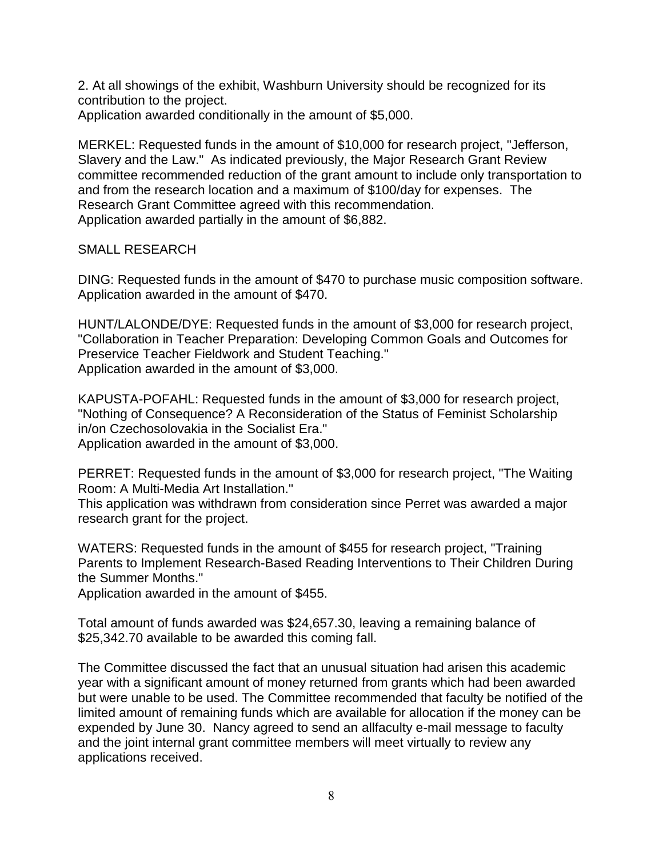2. At all showings of the exhibit, Washburn University should be recognized for its contribution to the project.

Application awarded conditionally in the amount of \$5,000.

MERKEL: Requested funds in the amount of \$10,000 for research project, "Jefferson, Slavery and the Law." As indicated previously, the Major Research Grant Review committee recommended reduction of the grant amount to include only transportation to and from the research location and a maximum of \$100/day for expenses. The Research Grant Committee agreed with this recommendation. Application awarded partially in the amount of \$6,882.

SMALL RESEARCH

DING: Requested funds in the amount of \$470 to purchase music composition software. Application awarded in the amount of \$470.

HUNT/LALONDE/DYE: Requested funds in the amount of \$3,000 for research project, "Collaboration in Teacher Preparation: Developing Common Goals and Outcomes for Preservice Teacher Fieldwork and Student Teaching." Application awarded in the amount of \$3,000.

KAPUSTA-POFAHL: Requested funds in the amount of \$3,000 for research project, "Nothing of Consequence? A Reconsideration of the Status of Feminist Scholarship in/on Czechosolovakia in the Socialist Era." Application awarded in the amount of \$3,000.

PERRET: Requested funds in the amount of \$3,000 for research project, "The Waiting Room: A Multi-Media Art Installation."

This application was withdrawn from consideration since Perret was awarded a major research grant for the project.

WATERS: Requested funds in the amount of \$455 for research project, "Training Parents to Implement Research-Based Reading Interventions to Their Children During the Summer Months."

Application awarded in the amount of \$455.

Total amount of funds awarded was \$24,657.30, leaving a remaining balance of \$25,342.70 available to be awarded this coming fall.

The Committee discussed the fact that an unusual situation had arisen this academic year with a significant amount of money returned from grants which had been awarded but were unable to be used. The Committee recommended that faculty be notified of the limited amount of remaining funds which are available for allocation if the money can be expended by June 30. Nancy agreed to send an allfaculty e-mail message to faculty and the joint internal grant committee members will meet virtually to review any applications received.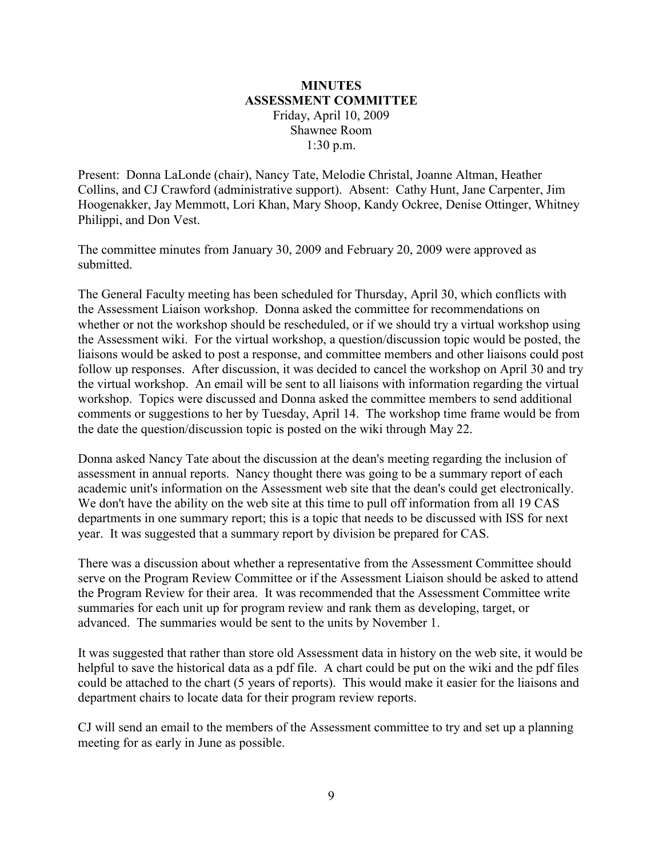## **MINUTES ASSESSMENT COMMITTEE** Friday, April 10, 2009 Shawnee Room 1:30 p.m.

Present: Donna LaLonde (chair), Nancy Tate, Melodie Christal, Joanne Altman, Heather Collins, and CJ Crawford (administrative support). Absent: Cathy Hunt, Jane Carpenter, Jim Hoogenakker, Jay Memmott, Lori Khan, Mary Shoop, Kandy Ockree, Denise Ottinger, Whitney Philippi, and Don Vest.

The committee minutes from January 30, 2009 and February 20, 2009 were approved as submitted.

The General Faculty meeting has been scheduled for Thursday, April 30, which conflicts with the Assessment Liaison workshop. Donna asked the committee for recommendations on whether or not the workshop should be rescheduled, or if we should try a virtual workshop using the Assessment wiki. For the virtual workshop, a question/discussion topic would be posted, the liaisons would be asked to post a response, and committee members and other liaisons could post follow up responses. After discussion, it was decided to cancel the workshop on April 30 and try the virtual workshop. An email will be sent to all liaisons with information regarding the virtual workshop. Topics were discussed and Donna asked the committee members to send additional comments or suggestions to her by Tuesday, April 14. The workshop time frame would be from the date the question/discussion topic is posted on the wiki through May 22.

Donna asked Nancy Tate about the discussion at the dean's meeting regarding the inclusion of assessment in annual reports. Nancy thought there was going to be a summary report of each academic unit's information on the Assessment web site that the dean's could get electronically. We don't have the ability on the web site at this time to pull off information from all 19 CAS departments in one summary report; this is a topic that needs to be discussed with ISS for next year. It was suggested that a summary report by division be prepared for CAS.

There was a discussion about whether a representative from the Assessment Committee should serve on the Program Review Committee or if the Assessment Liaison should be asked to attend the Program Review for their area. It was recommended that the Assessment Committee write summaries for each unit up for program review and rank them as developing, target, or advanced. The summaries would be sent to the units by November 1.

It was suggested that rather than store old Assessment data in history on the web site, it would be helpful to save the historical data as a pdf file. A chart could be put on the wiki and the pdf files could be attached to the chart (5 years of reports). This would make it easier for the liaisons and department chairs to locate data for their program review reports.

CJ will send an email to the members of the Assessment committee to try and set up a planning meeting for as early in June as possible.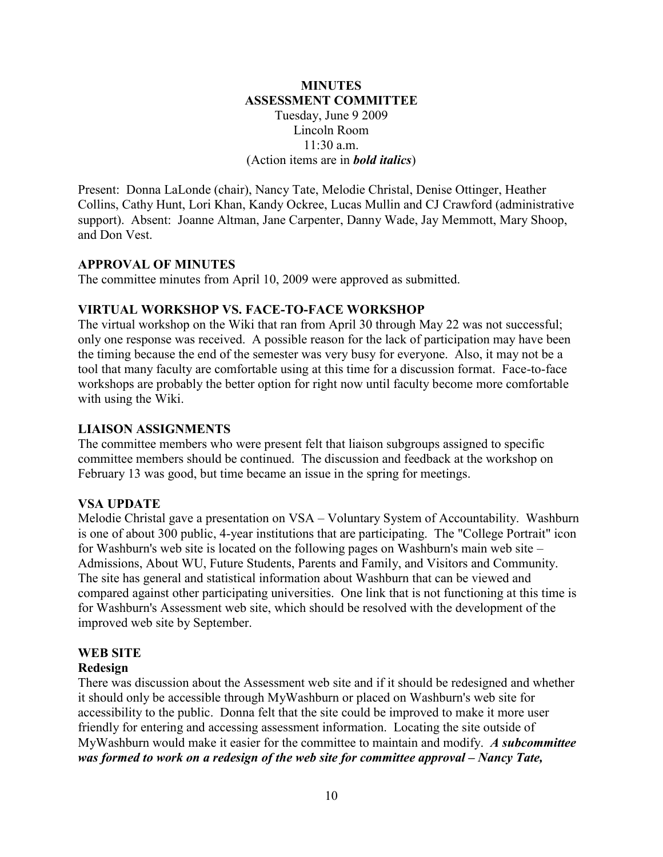### **MINUTES ASSESSMENT COMMITTEE** Tuesday, June 9 2009 Lincoln Room  $11:30$  a.m. (Action items are in *bold italics*)

Present: Donna LaLonde (chair), Nancy Tate, Melodie Christal, Denise Ottinger, Heather Collins, Cathy Hunt, Lori Khan, Kandy Ockree, Lucas Mullin and CJ Crawford (administrative support). Absent: Joanne Altman, Jane Carpenter, Danny Wade, Jay Memmott, Mary Shoop, and Don Vest.

#### **APPROVAL OF MINUTES**

The committee minutes from April 10, 2009 were approved as submitted.

#### **VIRTUAL WORKSHOP VS. FACE-TO-FACE WORKSHOP**

The virtual workshop on the Wiki that ran from April 30 through May 22 was not successful; only one response was received. A possible reason for the lack of participation may have been the timing because the end of the semester was very busy for everyone. Also, it may not be a tool that many faculty are comfortable using at this time for a discussion format. Face-to-face workshops are probably the better option for right now until faculty become more comfortable with using the Wiki.

#### **LIAISON ASSIGNMENTS**

The committee members who were present felt that liaison subgroups assigned to specific committee members should be continued. The discussion and feedback at the workshop on February 13 was good, but time became an issue in the spring for meetings.

#### **VSA UPDATE**

Melodie Christal gave a presentation on VSA – Voluntary System of Accountability. Washburn is one of about 300 public, 4-year institutions that are participating. The "College Portrait" icon for Washburn's web site is located on the following pages on Washburn's main web site – Admissions, About WU, Future Students, Parents and Family, and Visitors and Community. The site has general and statistical information about Washburn that can be viewed and compared against other participating universities. One link that is not functioning at this time is for Washburn's Assessment web site, which should be resolved with the development of the improved web site by September.

## **WEB SITE**

#### **Redesign**

There was discussion about the Assessment web site and if it should be redesigned and whether it should only be accessible through MyWashburn or placed on Washburn's web site for accessibility to the public. Donna felt that the site could be improved to make it more user friendly for entering and accessing assessment information. Locating the site outside of MyWashburn would make it easier for the committee to maintain and modify. *A subcommittee was formed to work on a redesign of the web site for committee approval – Nancy Tate,*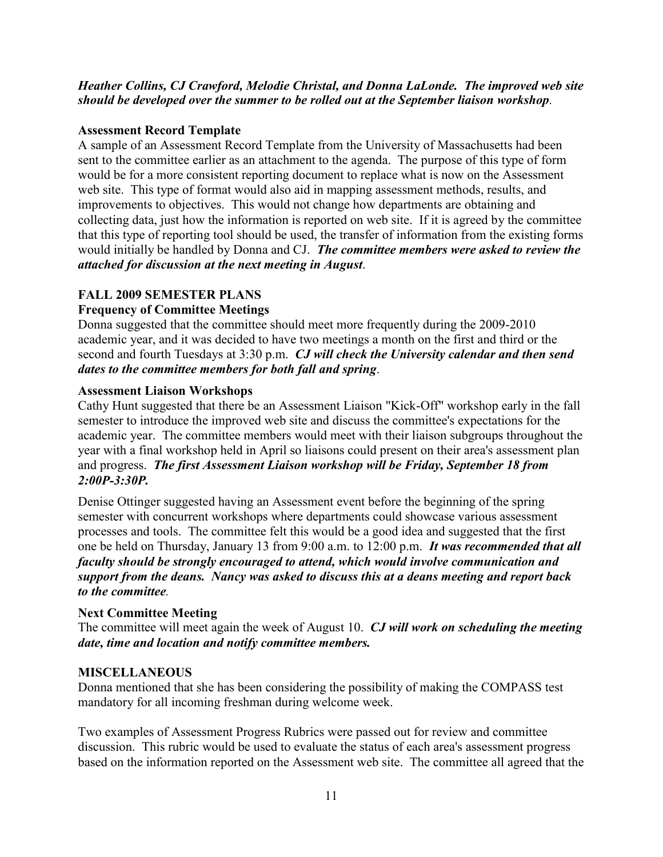### *Heather Collins, CJ Crawford, Melodie Christal, and Donna LaLonde. The improved web site should be developed over the summer to be rolled out at the September liaison workshop.*

## **Assessment Record Template**

A sample of an Assessment Record Template from the University of Massachusetts had been sent to the committee earlier as an attachment to the agenda. The purpose of this type of form would be for a more consistent reporting document to replace what is now on the Assessment web site. This type of format would also aid in mapping assessment methods, results, and improvements to objectives. This would not change how departments are obtaining and collecting data, just how the information is reported on web site. If it is agreed by the committee that this type of reporting tool should be used, the transfer of information from the existing forms would initially be handled by Donna and CJ. *The committee members were asked to review the attached for discussion at the next meeting in August*.

# **FALL 2009 SEMESTER PLANS**

# **Frequency of Committee Meetings**

Donna suggested that the committee should meet more frequently during the 2009-2010 academic year, and it was decided to have two meetings a month on the first and third or the second and fourth Tuesdays at 3:30 p.m. *CJ will check the University calendar and then send dates to the committee members for both fall and spring*.

#### **Assessment Liaison Workshops**

Cathy Hunt suggested that there be an Assessment Liaison "Kick-Off" workshop early in the fall semester to introduce the improved web site and discuss the committee's expectations for the academic year. The committee members would meet with their liaison subgroups throughout the year with a final workshop held in April so liaisons could present on their area's assessment plan and progress. *The first Assessment Liaison workshop will be Friday, September 18 from 2:00P-3:30P.*

Denise Ottinger suggested having an Assessment event before the beginning of the spring semester with concurrent workshops where departments could showcase various assessment processes and tools. The committee felt this would be a good idea and suggested that the first one be held on Thursday, January 13 from 9:00 a.m. to 12:00 p.m. *It was recommended that all faculty should be strongly encouraged to attend, which would involve communication and support from the deans. Nancy was asked to discuss this at a deans meeting and report back to the committee.*

## **Next Committee Meeting**

The committee will meet again the week of August 10. *CJ will work on scheduling the meeting date, time and location and notify committee members.*

## **MISCELLANEOUS**

Donna mentioned that she has been considering the possibility of making the COMPASS test mandatory for all incoming freshman during welcome week.

Two examples of Assessment Progress Rubrics were passed out for review and committee discussion. This rubric would be used to evaluate the status of each area's assessment progress based on the information reported on the Assessment web site. The committee all agreed that the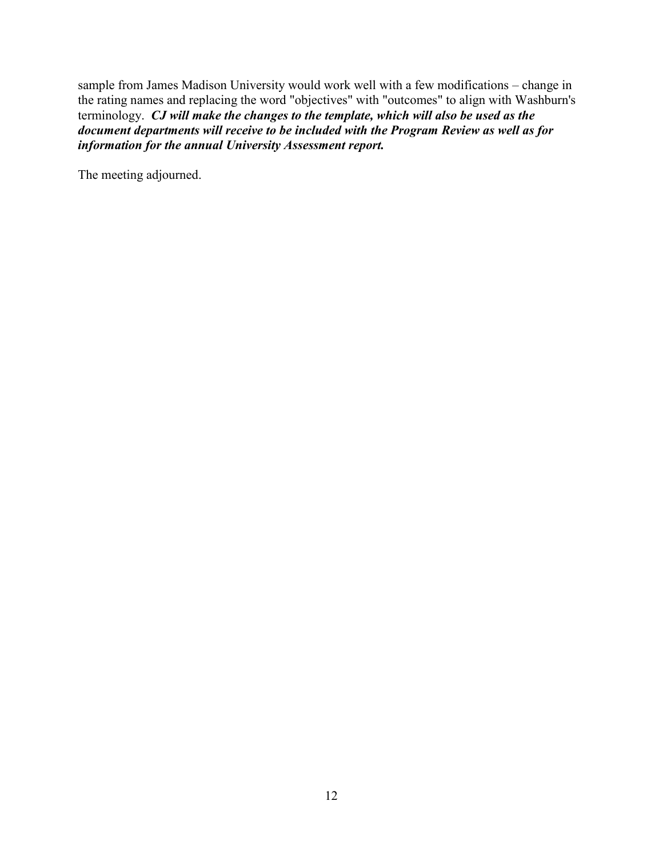sample from James Madison University would work well with a few modifications – change in the rating names and replacing the word "objectives" with "outcomes" to align with Washburn's terminology. *CJ will make the changes to the template, which will also be used as the document departments will receive to be included with the Program Review as well as for information for the annual University Assessment report.*

The meeting adjourned.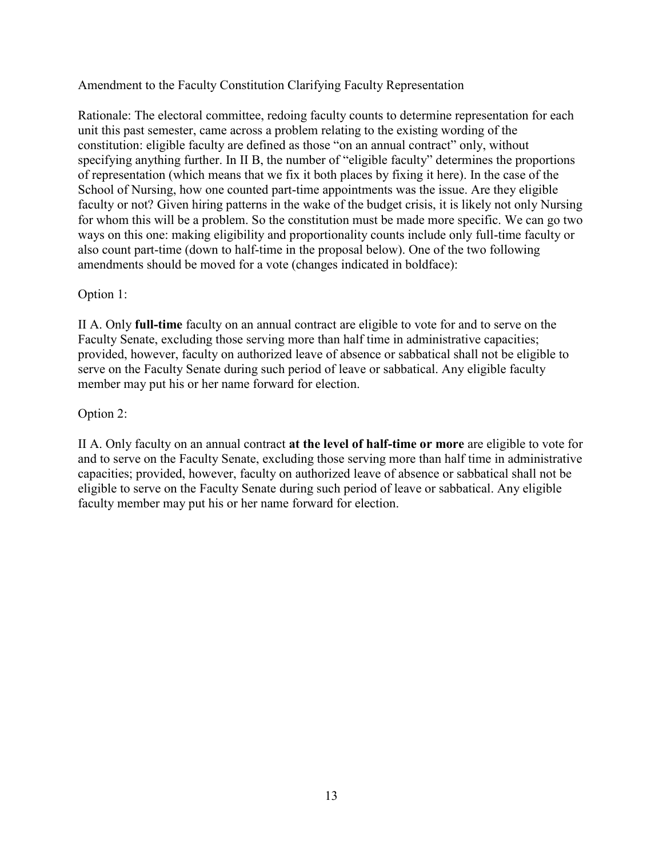Amendment to the Faculty Constitution Clarifying Faculty Representation

Rationale: The electoral committee, redoing faculty counts to determine representation for each unit this past semester, came across a problem relating to the existing wording of the constitution: eligible faculty are defined as those "on an annual contract" only, without specifying anything further. In II B, the number of "eligible faculty" determines the proportions of representation (which means that we fix it both places by fixing it here). In the case of the School of Nursing, how one counted part-time appointments was the issue. Are they eligible faculty or not? Given hiring patterns in the wake of the budget crisis, it is likely not only Nursing for whom this will be a problem. So the constitution must be made more specific. We can go two ways on this one: making eligibility and proportionality counts include only full-time faculty or also count part-time (down to half-time in the proposal below). One of the two following amendments should be moved for a vote (changes indicated in boldface):

## Option 1:

II A. Only **full-time** faculty on an annual contract are eligible to vote for and to serve on the Faculty Senate, excluding those serving more than half time in administrative capacities; provided, however, faculty on authorized leave of absence or sabbatical shall not be eligible to serve on the Faculty Senate during such period of leave or sabbatical. Any eligible faculty member may put his or her name forward for election.

#### Option 2:

II A. Only faculty on an annual contract **at the level of half-time or more** are eligible to vote for and to serve on the Faculty Senate, excluding those serving more than half time in administrative capacities; provided, however, faculty on authorized leave of absence or sabbatical shall not be eligible to serve on the Faculty Senate during such period of leave or sabbatical. Any eligible faculty member may put his or her name forward for election.